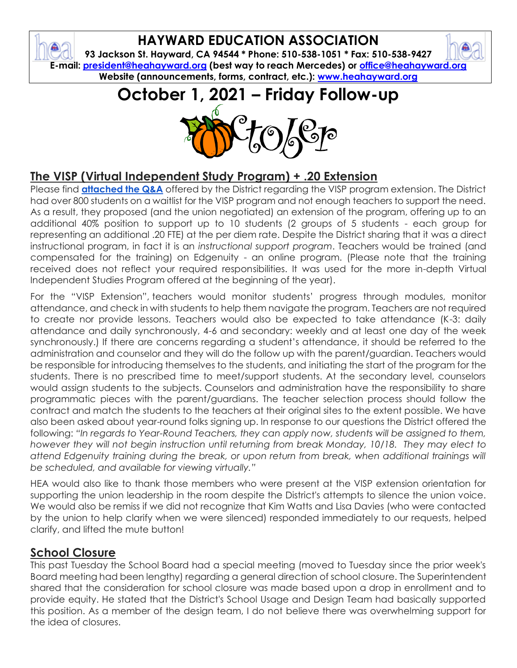### **HAYWARD EDUCATION ASSOCIATION**

ଈ

**93 Jackson St. Hayward, CA 94544 \* Phone: 510-538-1051 \* Fax: 510-538-9427 E-mail: [president@heahayward.org](mailto:president@heahayward.org) (best way to reach Mercedes) or [office@heahayward.org](mailto:office@heahayward.org) Website (announcements, forms, contract, etc.): [www.heahayward.org](http://www.heahayward.org/)**

# **October 1, 2021 – Friday Follow-up**



### **The VISP (Virtual Independent Study Program) + .20 Extension**

Please find **[attached the Q&A](https://drive.google.com/file/d/1BLLAm8agcXV4mQFDLAM4NzX9JJEgP-W3/view?usp=sharing)** offered by the District regarding the VISP program extension. The District had over 800 students on a waitlist for the VISP program and not enough teachers to support the need. As a result, they proposed (and the union negotiated) an extension of the program, offering up to an additional 40% position to support up to 10 students (2 groups of 5 students - each group for representing an additional .20 FTE) at the per diem rate. Despite the District sharing that it was a direct instructional program, in fact it is an *instructional support program*. Teachers would be trained (and compensated for the training) on Edgenuity - an online program. (Please note that the training received does not reflect your required responsibilities. It was used for the more in-depth Virtual Independent Studies Program offered at the beginning of the year).

For the "VISP Extension", teachers would monitor students' progress through modules, monitor attendance, and check in with students to help them navigate the program. Teachers are not required to create nor provide lessons. Teachers would also be expected to take attendance (K-3: daily attendance and daily synchronously, 4-6 and secondary: weekly and at least one day of the week synchronously.) If there are concerns regarding a student's attendance, it should be referred to the administration and counselor and they will do the follow up with the parent/guardian. Teachers would be responsible for introducing themselves to the students, and initiating the start of the program for the students. There is no prescribed time to meet/support students. At the secondary level, counselors would assign students to the subjects. Counselors and administration have the responsibility to share programmatic pieces with the parent/guardians. The teacher selection process should follow the contract and match the students to the teachers at their original sites to the extent possible. We have also been asked about year-round folks signing up. In response to our questions the District offered the following: *"In regards to Year-Round Teachers, they can apply now, students will be assigned to them, however they will not begin instruction until returning from break Monday, 10/18. They may elect to attend Edgenuity training during the break, or upon return from break, when additional trainings will be scheduled, and available for viewing virtually."*

HEA would also like to thank those members who were present at the VISP extension orientation for supporting the union leadership in the room despite the District's attempts to silence the union voice. We would also be remiss if we did not recognize that Kim Watts and Lisa Davies (who were contacted by the union to help clarify when we were silenced) responded immediately to our requests, helped clarify, and lifted the mute button!

#### **School Closure**

This past Tuesday the School Board had a special meeting (moved to Tuesday since the prior week's Board meeting had been lengthy) regarding a general direction of school closure. The Superintendent shared that the consideration for school closure was made based upon a drop in enrollment and to provide equity. He stated that the District's School Usage and Design Team had basically supported this position. As a member of the design team, I do not believe there was overwhelming support for the idea of closures.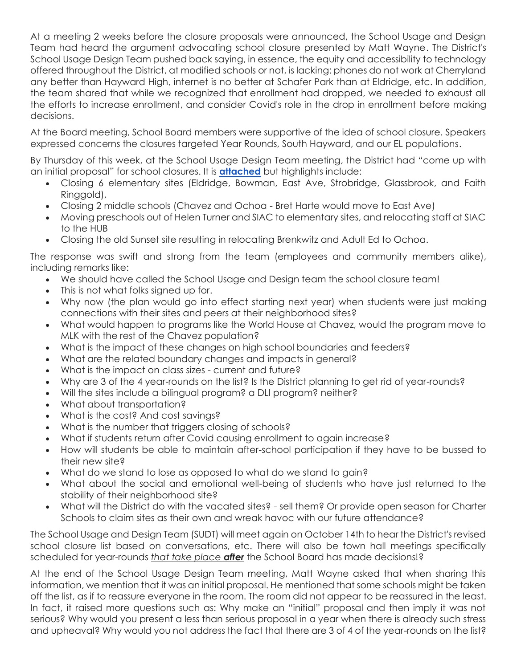At a meeting 2 weeks before the closure proposals were announced, the School Usage and Design Team had heard the argument advocating school closure presented by Matt Wayne. The District's School Usage Design Team pushed back saying, in essence, the equity and accessibility to technology offered throughout the District, at modified schools or not, is lacking: phones do not work at Cherryland any better than Hayward High, internet is no better at Schafer Park than at Eldridge, etc. In addition, the team shared that while we recognized that enrollment had dropped, we needed to exhaust all the efforts to increase enrollment, and consider Covid's role in the drop in enrollment before making decisions.

At the Board meeting, School Board members were supportive of the idea of school closure. Speakers expressed concerns the closures targeted Year Rounds, South Hayward, and our EL populations.

By Thursday of this week, at the School Usage Design Team meeting, the District had "come up with an initial proposal" for school closures. It is **[attached](https://drive.google.com/file/d/1xYXy25xddPLJme0KUNFRnuG5vge8pLmr/view?usp=sharing)** but highlights include:

- Closing 6 elementary sites (Eldridge, Bowman, East Ave, Strobridge, Glassbrook, and Faith Ringgold),
- Closing 2 middle schools (Chavez and Ochoa Bret Harte would move to East Ave)
- Moving preschools out of Helen Turner and SIAC to elementary sites, and relocating staff at SIAC to the HUB
- Closing the old Sunset site resulting in relocating Brenkwitz and Adult Ed to Ochoa.

The response was swift and strong from the team (employees and community members alike), including remarks like:

- We should have called the School Usage and Design team the school closure team!
- This is not what folks signed up for.
- Why now (the plan would go into effect starting next year) when students were just making connections with their sites and peers at their neighborhood sites?
- What would happen to programs like the World House at Chavez, would the program move to MLK with the rest of the Chavez population?
- What is the impact of these changes on high school boundaries and feeders?
- What are the related boundary changes and impacts in general?
- What is the impact on class sizes current and future?
- Why are 3 of the 4 year-rounds on the list? Is the District planning to get rid of year-rounds?
- Will the sites include a bilingual program? a DLI program? neither?
- What about transportation?
- What is the cost? And cost savings?
- What is the number that triggers closing of schools?
- What if students return after Covid causing enrollment to again increase?
- How will students be able to maintain after-school participation if they have to be bussed to their new site?
- What do we stand to lose as opposed to what do we stand to gain?
- What about the social and emotional well-being of students who have just returned to the stability of their neighborhood site?
- What will the District do with the vacated sites? sell them? Or provide open season for Charter Schools to claim sites as their own and wreak havoc with our future attendance?

The School Usage and Design Team (SUDT) will meet again on October 14th to hear the District's revised school closure list based on conversations, etc. There will also be town hall meetings specifically scheduled for year-rounds *that take place after* the School Board has made decisions!?

At the end of the School Usage Design Team meeting, Matt Wayne asked that when sharing this information, we mention that it was an initial proposal. He mentioned that some schools might be taken off the list, as if to reassure everyone in the room. The room did not appear to be reassured in the least. In fact, it raised more questions such as: Why make an "initial" proposal and then imply it was not serious? Why would you present a less than serious proposal in a year when there is already such stress and upheaval? Why would you not address the fact that there are 3 of 4 of the year-rounds on the list?